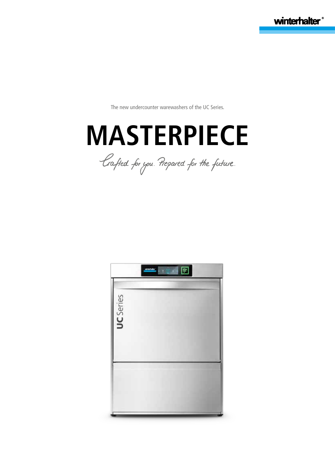winterhalter

The new undercounter warewashers of the UC Series.



Crafted for you. Prepared for the future.

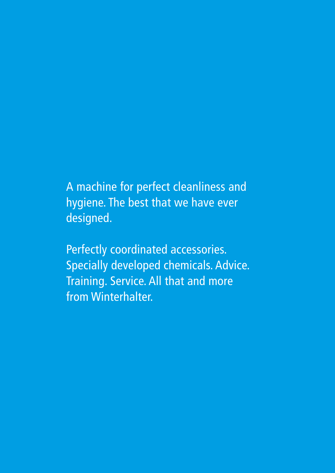A machine for perfect cleanliness and hygiene. The best that we have ever designed.

Perfectly coordinated accessories. Specially developed chemicals. Advice. Training. Service. All that and more from Winterhalter.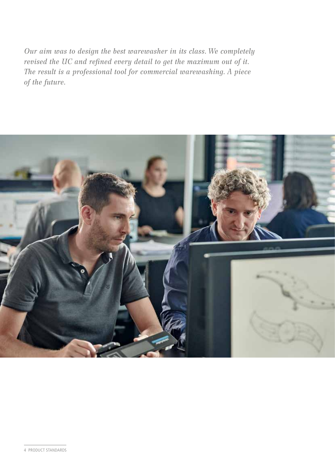*Our aim was to design the best warewasher in its class. We completely revised the UC and refined every detail to get the maximum out of it. The result is a professional tool for commercial warewashing. A piece of the future.*

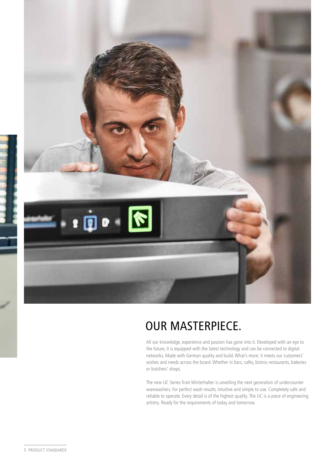

# OUR MASTERPIECE.

All our knowledge, experience and passion has gone into it. Developed with an eye to the future, it is equipped with the latest technology and can be connected to digital networks. Made with German quality and build. What's more: it meets our customers' wishes and needs across the board. Whether in bars, cafés, bistros restaurants, bakeries or butchers' shops.

The new UC Series from Winterhalter is unveiling the next generation of undercounter warewashers. For perfect wash results. Intuitive and simple to use. Completely safe and reliable to operate. Every detail is of the highest quality. The UC is a piece of engineering artistry. Ready for the requirements of today and tomorrow.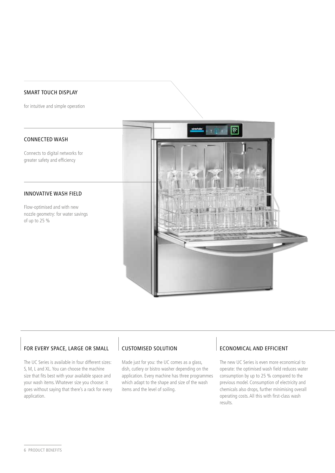#### SMART TOUCH DISPLAY

for intuitive and simple operation

#### CONNECTED WASH

Connects to digital networks for greater safety and efficiency

#### INNOVATIVE WASH FIELD

Flow-optimised and with new nozzle geometry: for water savings of up to 25 %



#### FOR EVERY SPACE, LARGE OR SMALL

The UC Series is available in four different sizes: S, M, L and XL. You can choose the machine size that fits best with your available space and your wash items. Whatever size you choose: it goes without saying that there's a rack for every application.

#### CUSTOMISED SOLUTION

Made just for you: the UC comes as a glass, dish, cutlery or bistro washer depending on the application. Every machine has three programmes which adapt to the shape and size of the wash items and the level of soiling.

#### ECONOMICAL AND EFFICIENT

The new UC Series is even more economical to operate: the optimised wash field reduces water consumption by up to 25 % compared to the previous model. Consumption of electricity and chemicals also drops, further minimising overall operating costs. All this with first-class wash results.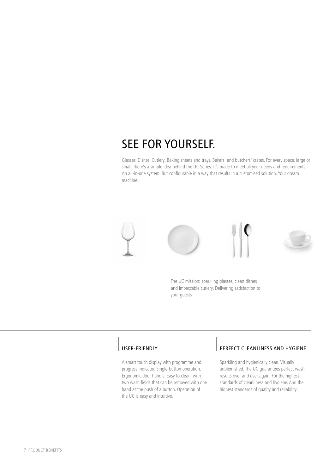# SEE FOR YOURSELF.

Glasses. Dishes. Cutlery. Baking sheets and trays. Bakers' and butchers' crates. For every space, large or small. There's a simple idea behind the UC Series: it's made to meet all your needs and requirements. An all-in-one system. But configurable in a way that results in a customised solution. Your dream machine.





The UC mission: sparkling glasses, clean dishes and impeccable cutlery. Delivering satisfaction to your guests.

#### USER-FRIENDLY

A smart touch display with programme and progress indicator. Single-button operation. Ergonomic door handle. Easy to clean, with two wash fields that can be removed with one hand at the push of a button. Operation of the UC is easy and intuitive.

#### PERFECT CLEANLINESS AND HYGIENE

Sparkling and hygienically clean. Visually unblemished. The UC guarantees perfect wash results over and over again. For the highest standards of cleanliness and hygiene. And the highest standards of quality and reliability.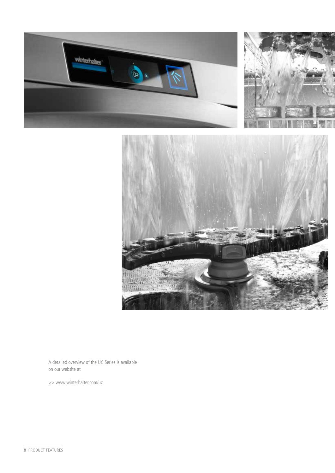



A detailed overview of the UC Series is available on our website at

>> www.winterhalter.com/uc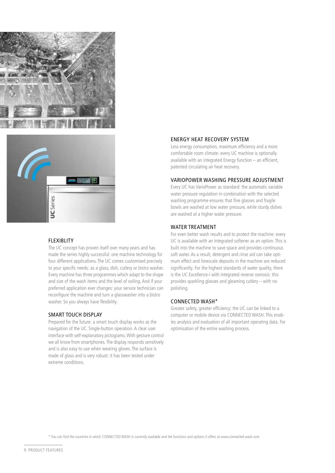



#### FLEXIBLITY

The UC concept has proven itself over many years and has made the series highly successful: one machine technology for four different applications. The UC comes customised precisely to your specific needs: as a glass, dish, cutlery or bistro washer. Every machine has three programmes which adapt to the shape and size of the wash items and the level of soiling. And if your preferred application ever changes: your service technician can reconfigure the machine and turn a glasswasher into a bistro washer. So you always have flexibility.

#### SMART TOUCH DISPLAY

Prepared for the future: a smart touch display works as the navigation of the UC. Single-button operation. A clear user interface with self-explanatory pictograms. With gesture control we all know from smartphones. The display responds sensitively and is also easy to use when wearing gloves. The surface is made of glass and is very robust: it has been tested under extreme conditions.

#### ENERGY HEAT RECOVERY SYSTEM

Less energy consumption, maximum efficiency and a more comfortable room climate: every UC machine is optionally available with an integrated Energy function – an efficient, patented circulating air heat recovery.

#### VARIOPOWER WASHING PRESSURE ADJUSTMENT

Every UC has VarioPower as standard: the automatic variable water pressure regulation in combination with the selected washing programme ensures that fine glasses and fragile bowls are washed at low water pressure, while sturdy dishes are washed at a higher water pressure.

#### WATER TREATMENT

For even better wash results and to protect the machine: every UC is available with an integrated softener as an option. This is built into the machine to save space and provides continuous soft water. As a result, detergent and rinse aid can take optimum effect and limescale deposits in the machine are reduced significantly. For the highest standards of water quality, there is the UC Excellence-i with integrated reverse osmosis: this provides sparkling glasses and gleaming cutlery – with no polishing.

#### CONNECTED WASH\*

Greater safety, greater efficiency: the UC can be linked to a computer or mobile device via CONNECTED WASH. This enables analysis and evaluation of all important operating data. For optimisation of the entire washing process.

\* You can find the countries in which CONNECTED WASH is currently available and the functions and options it offers at www.connected-wash.com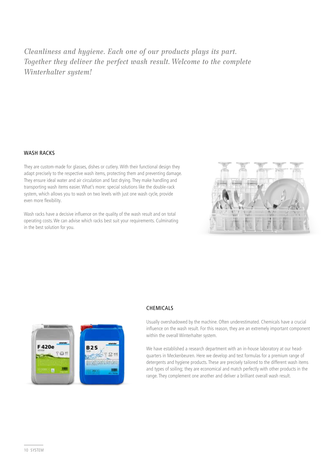*Cleanliness and hygiene. Each one of our products plays its part. Together they deliver the perfect wash result. Welcome to the complete Winterhalter system!*

#### WASH RACKS

They are custom-made for glasses, dishes or cutlery. With their functional design they adapt precisely to the respective wash items, protecting them and preventing damage. They ensure ideal water and air circulation and fast drying. They make handling and transporting wash items easier. What's more: special solutions like the double-rack system, which allows you to wash on two levels with just one wash cycle, provide even more flexibility.

Wash racks have a decisive influence on the quality of the wash result and on total operating costs. We can advise which racks best suit your requirements. Culminating in the best solution for you.





#### **CHEMICALS**

Usually overshadowed by the machine. Often underestimated. Chemicals have a crucial influence on the wash result. For this reason, they are an extremely important component within the overall Winterhalter system.

We have established a research department with an in-house laboratory at our headquarters in Meckenbeuren. Here we develop and test formulas for a premium range of detergents and hygiene products. These are precisely tailored to the different wash items and types of soiling; they are economical and match perfectly with other products in the range. They complement one another and deliver a brilliant overall wash result.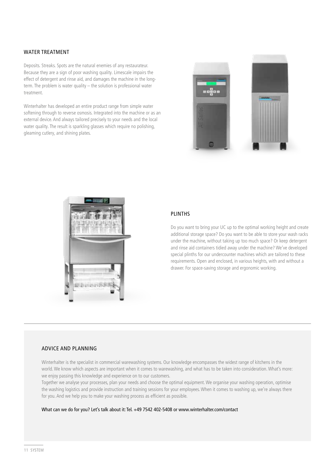#### WATER TREATMENT

Deposits. Streaks. Spots are the natural enemies of any restaurateur. Because they are a sign of poor washing quality. Limescale impairs the effect of detergent and rinse aid, and damages the machine in the longterm. The problem is water quality – the solution is professional water treatment.

Winterhalter has developed an entire product range from simple water softening through to reverse osmosis. Integrated into the machine or as an external device. And always tailored precisely to your needs and the local water quality. The result is sparkling glasses which require no polishing, gleaming cutlery, and shining plates.





#### PLINTHS

Do you want to bring your UC up to the optimal working height and create additional storage space? Do you want to be able to store your wash racks under the machine, without taking up too much space? Or keep detergent and rinse aid containers tidied away under the machine? We've developed special plinths for our undercounter machines which are tailored to these requirements. Open and enclosed, in various heights, with and without a drawer. For space-saving storage and ergonomic working.

#### ADVICE AND PLANNING

Winterhalter is the specialist in commercial warewashing systems. Our knowledge encompasses the widest range of kitchens in the world. We know which aspects are important when it comes to warewashing, and what has to be taken into consideration. What's more: we enjoy passing this knowledge and experience on to our customers.

Together we analyse your processes, plan your needs and choose the optimal equipment. We organise your washing operation, optimise the washing logistics and provide instruction and training sessions for your employees. When it comes to washing up, we're always there for you. And we help you to make your washing process as efficient as possible.

What can we do for you? Let's talk about it: Tel. +49 7542 402-5408 or www.winterhalter.com/contact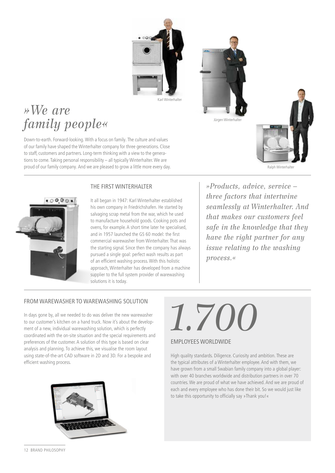

# Jürgen Winterhal



Ralph Winterhalte

# *»We are family people«*

Down-to-earth. Forward-looking. With a focus on family. The culture and values of our family have shaped the Winterhalter company for three generations. Close to staff, customers and partners. Long-term thinking with a view to the generations to come. Taking personal responsibility – all typically Winterhalter. We are proud of our family company. And we are pleased to grow a little more every day.





It all began in 1947: Karl Winterhalter established his own company in Friedrichshafen. He started by salvaging scrap metal from the war, which he used to manufacture household goods. Cooking pots and ovens, for example. A short time later he specialised, and in 1957 launched the GS 60 model: the first commercial warewasher from Winterhalter. That was the starting signal. Since then the company has always pursued a single goal: perfect wash results as part of an efficient washing process. With this holistic approach, Winterhalter has developed from a machine supplier to the full system provider of warewashing solutions it is today.

*»Products, advice, service – three factors that intertwine seamlessly at Winterhalter. And that makes our customers feel safe in the knowledge that they have the right partner for any issue relating to the washing process.«*

#### FROM WAREWASHER TO WAREWASHING SOLUTION

In days gone by, all we needed to do was deliver the new warewasher to our customer's kitchen on a hand truck. Now it's about the development of a new, individual warewashing solution, which is perfectly coordinated with the on-site situation and the special requirements and preferences of the customer. A solution of this type is based on clear analysis and planning. To achieve this, we visualise the room layout using state-of-the-art CAD software in 2D and 3D. For a bespoke and efficient washing process.

# *1.700* EMPLOYEES WORLDWIDE

High quality standards. Diligence. Curiosity and ambition. These are the typical attributes of a Winterhalter employee. And with them, we have grown from a small Swabian family company into a global player: with over 40 branches worldwide and distribution partners in over 70 countries. We are proud of what we have achieved. And we are proud of each and every employee who has done their bit. So we would just like to take this opportunity to officially say »Thank you!«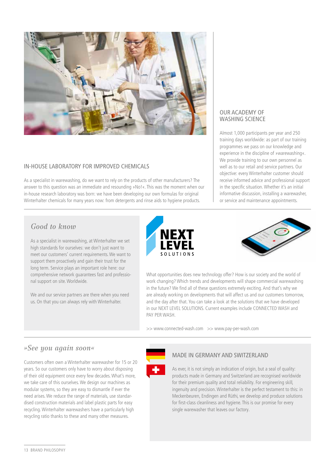

#### IN-HOUSE LABORATORY FOR IMPROVED CHEMICALS

As a specialist in warewashing, do we want to rely on the products of other manufacturers? The answer to this question was an immediate and resounding »No!«. This was the moment when our in-house research laboratory was born: we have been developing our own formulas for original Winterhalter chemicals for many years now: from detergents and rinse aids to hygiene products.

#### OUR ACADEMY OF WASHING SCIENCE

Almost 1,000 participants per year and 250 training days worldwide: as part of our training programmes we pass on our knowledge and experience in the discipline of »warewashing«. We provide training to our own personnel as well as to our retail and service partners. Our objective: every Winterhalter customer should receive informed advice and professional support in the specific situation. Whether it's an initial informative discussion, installing a warewasher, or service and maintenance appointments.

#### *Good to know*

As a specialist in warewashing, at Winterhalter we set high standards for ourselves: we don't just want to meet our customers' current requirements. We want to support them proactively and gain their trust for the long term. Service plays an important role here: our comprehensive network guarantees fast and professional support on site. Worldwide.

We and our service partners are there when you need us. On that you can always rely with Winterhalter.





What opportunities does new technology offer? How is our society and the world of work changing? Which trends and developments will shape commercial warewashing in the future? We find all of these questions extremely exciting. And that's why we are already working on developments that will affect us and our customers tomorrow, and the day after that. You can take a look at the solutions that we have developed in our NEXT LEVEL SOLUTIONS. Current examples include CONNECTED WASH and PAY PER WASH.

>> www.connected-wash.com >> www.pay-per-wash.com

#### *»See you again soon«*

Customers often own a Winterhalter warewasher for 15 or 20 years. So our customers only have to worry about disposing of their old equipment once every few decades. What's more, we take care of this ourselves. We design our machines as modular systems, so they are easy to dismantle if ever the need arises. We reduce the range of materials, use standardised construction materials and label plastic parts for easy recycling. Winterhalter warewashers have a particularly high recycling ratio thanks to these and many other measures.



#### MADE IN GERMANY AND SWITZERLAND

As ever, it is not simply an indication of origin, but a seal of quality: products made in Germany and Switzerland are recognised worldwide for their premium quality and total reliability. For engineering skill, ingenuity and precision. Winterhalter is the perfect testament to this: in Meckenbeuren, Endingen and Rüthi, we develop and produce solutions for first-class cleanliness and hygiene. This is our promise for every single warewasher that leaves our factory.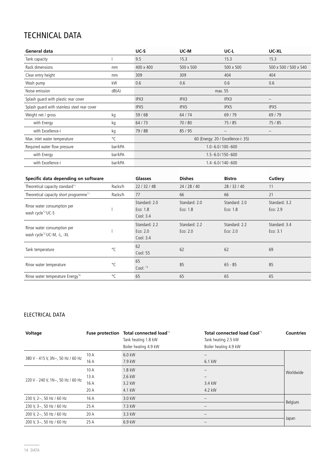### TECHNICAL DATA

| General data                                 |         | $UC-S$    | UC-M      | UC-L                               | UC-XL                        |
|----------------------------------------------|---------|-----------|-----------|------------------------------------|------------------------------|
| Tank capacity                                |         | 9.5       | 15.3      | 15.3                               | 15.3                         |
| Rack dimensions                              | mm      | 400 x 400 | 500 x 500 | 500 x 500                          | 500 x 500 / 500 x 540        |
| Clear entry height                           | mm      | 309       | 309       | 404                                | 404                          |
| Wash pump                                    | kW      | 0.6       | 0.6       | 0.6                                | 0.6                          |
| Noise emission                               | dB(A)   |           |           | max. 55                            |                              |
| Splash guard with plastic rear cover         |         | IPX3      | IPX3      | IPX3                               | $\qquad \qquad -$            |
| Splash quard with stainless steel rear cover |         | IPX5      | IPX5      | IPX5                               | IPX5                         |
| Weight net / gross                           | kg      | 59/68     | 64 / 74   | 69/79                              | 69/79                        |
| with Energy                                  | kg      | 64 / 73   | 70/80     | 75/85                              | 75/85                        |
| with Excellence-i                            | kg      | 79 / 88   | 85/95     | -                                  | $\qquad \qquad \blacksquare$ |
| Max. inlet water temperature                 | °C      |           |           | 60 (Energy: 20 / Excellence-i: 35) |                              |
| Required water flow pressure                 | bar/kPA |           |           | $1.0 - 6.0 / 100 - 600$            |                              |
| with Energy                                  | bar/kPA |           |           | $1.5 - 6.0 / 150 - 600$            |                              |
| with Excellence-i                            | bar/kPA |           |           | $1.4 - 6.0 / 140 - 600$            |                              |

| Specific data depending on software                                   |              | <b>Glasses</b>                           | <b>Dishes</b>               | <b>Bistro</b>               | Cutlery                     |
|-----------------------------------------------------------------------|--------------|------------------------------------------|-----------------------------|-----------------------------|-----------------------------|
| Theoretical capacity standard*1                                       | Racks/h      | 22/32/48                                 | 24 / 28 / 40                | 28/32/40                    | 11                          |
| Theoretical capacity short programme <sup>*1</sup>                    | Racks/h      | 77                                       | 66                          | 66                          | 21                          |
| Rinse water consumption per<br>wash cycle <sup>*2</sup> UC-S          |              | Standard: 2.0<br>Eco: 1.8<br>Cool: $3.4$ | Standard: 2.0<br>Eco: 1.8   | Standard: 2.0<br>Eco: 1.8   | Standard: 3.2<br>Eco: 2.9   |
| Rinse water consumption per<br>wash cycle <sup>*2</sup> UC-M, -L, -XL |              | Standard: 2.2<br>Eco: $2.0$<br>Cool: 3.4 | Standard: 2.2<br>Eco: $2.0$ | Standard: 2.2<br>Eco: $2.0$ | Standard: 3.4<br>Eco: $3.1$ |
| Tank temperature                                                      | $^{\circ}$ C | 62<br>Cool: 55                           | 62                          | 62                          | 69                          |
| Rinse water temperature                                               | $^{\circ}$ C | 65<br>Cool: $*3$                         | 85                          | $65 - 85$                   | 85                          |
| Rinse water temperature Energy*4                                      | °C           | 65                                       | 65                          | 65                          | 65                          |

#### ELECTRICAL DATA

| Voltage                           |      | Fuse protection Total connected load's<br>Tank heating 1.8 kW<br>Boiler heating 4.9 kW | <b>Total connected load Cool</b> <sup>*5</sup><br>Tank heating 2.5 kW<br>Boiler heating 4.9 kW | <b>Countries</b> |  |
|-----------------------------------|------|----------------------------------------------------------------------------------------|------------------------------------------------------------------------------------------------|------------------|--|
| 380 V - 415 V, 3N~, 50 Hz / 60 Hz | 10 A | 6.0 kW                                                                                 | -                                                                                              |                  |  |
|                                   | 16 A | 7.9 kW                                                                                 | 6.1 kW                                                                                         | Worldwide        |  |
| 220 V - 240 V, 1N~, 50 Hz / 60 Hz | 10 A | 1.8 kW                                                                                 | -                                                                                              |                  |  |
|                                   | 13 A | 2.6 kW                                                                                 | $\overline{\phantom{0}}$                                                                       |                  |  |
|                                   | 16 A | 3.2 kW                                                                                 | 3.4 kW                                                                                         |                  |  |
|                                   | 20 A | 4.1 kW                                                                                 | 4.2 kW                                                                                         |                  |  |
| 230 V, 2~, 50 Hz / 60 Hz          | 16 A | 3.0 kW                                                                                 | -                                                                                              |                  |  |
| 230 V, 3~, 50 Hz / 60 Hz          | 25 A | 7.3 kW                                                                                 | $\qquad \qquad \blacksquare$                                                                   | Belgium          |  |
| 200 V, 2~, 50 Hz / 60 Hz          | 20 A | 3.3 kW                                                                                 | $\qquad \qquad -$                                                                              | Japan            |  |
| 200 V, 3~, 50 Hz / 60 Hz          | 25 A | 6.9 kW                                                                                 |                                                                                                |                  |  |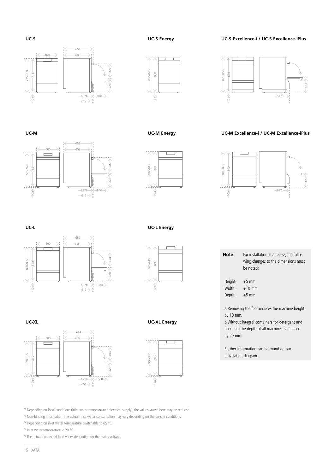15 DATA

\*1 Depending on local conditions (inlet water temperature / electrical supply), the values stated here may be reduced. \*2 Non-binding information. The actual rinse water consumption may vary depending on the on-site conditions.

 $671b \rightarrow 1068$ 

 $\left\langle -404\right\rangle$ 규  $-328$ 

651

637

691

\*3 Depending on inlet water temperature, switchable to 65 °C.

\*4 Inlet water temperature < 20 °C.

600

810

**UC-XL**

820-855

 $10a<sup>2</sup>$ 

\*5 The actual connected load varies depending on the mains voltage.

**UC-L Energy** 

895

905-940

 $-10a$ 

**UC-XL Energy** 

895

905-940

 $-10a$ 

|                 | wing changes to the dimensions must<br>be noted: |
|-----------------|--------------------------------------------------|
| Height: $+5$ mm | Width: $+10$ mm                                  |

810

820-855

10a

Depth: +5 mm

a Removing the feet reduces the machine height by 10 mm.

**Note** For installation in a recess, the follo-

b Without integral containers for detergent and rinse aid, the depth of all machines is reduced by 20 mm.

Further information can be found on our installation diagram.



715

**UC-M**

725-760

10a

 $-600$ 

## 657 600 603  $(-404 - )$ 820-855 328 404 404 810  $\overline{1}$ 328  $\rightarrow$  $637b \rightarrow 1034$ 617

 $940$ 

328

 $\leftarrow$ 309 $\rightarrow$ 

 $\overline{1}$ 

637b

617

603

657





637b

₽

423





800

810-845

 $-10a$ 

**UC-S Excellence-i / UC-S Excellence-iPlus**